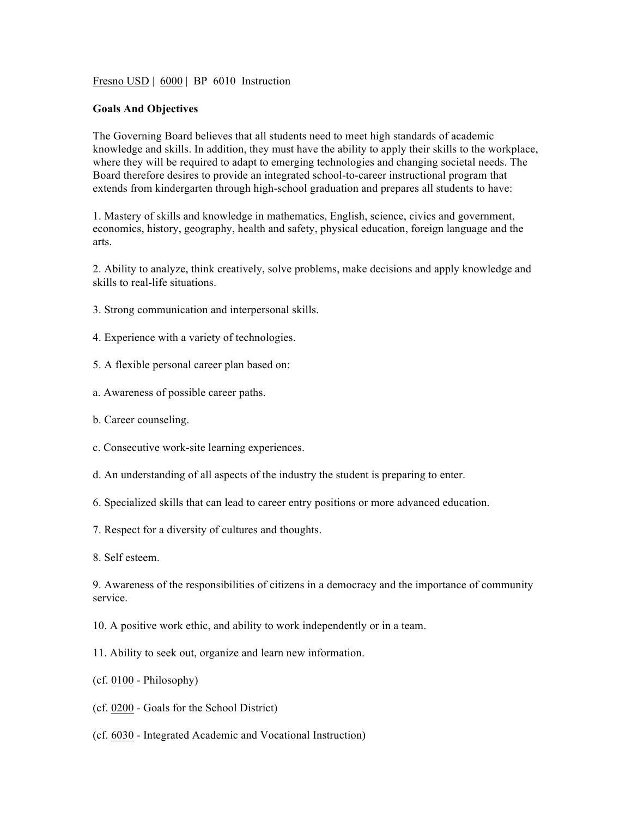Fresno USD | 6000 | BP 6010 Instruction

## **Goals And Objectives**

The Governing Board believes that all students need to meet high standards of academic knowledge and skills. In addition, they must have the ability to apply their skills to the workplace, where they will be required to adapt to emerging technologies and changing societal needs. The Board therefore desires to provide an integrated school-to-career instructional program that extends from kindergarten through high-school graduation and prepares all students to have:

1. Mastery of skills and knowledge in mathematics, English, science, civics and government, economics, history, geography, health and safety, physical education, foreign language and the arts.

2. Ability to analyze, think creatively, solve problems, make decisions and apply knowledge and skills to real-life situations.

- 3. Strong communication and interpersonal skills.
- 4. Experience with a variety of technologies.
- 5. A flexible personal career plan based on:
- a. Awareness of possible career paths.
- b. Career counseling.
- c. Consecutive work-site learning experiences.
- d. An understanding of all aspects of the industry the student is preparing to enter.
- 6. Specialized skills that can lead to career entry positions or more advanced education.
- 7. Respect for a diversity of cultures and thoughts.
- 8. Self esteem.

9. Awareness of the responsibilities of citizens in a democracy and the importance of community service.

- 10. A positive work ethic, and ability to work independently or in a team.
- 11. Ability to seek out, organize and learn new information.
- (cf. 0100 Philosophy)
- (cf. 0200 Goals for the School District)
- (cf. 6030 Integrated Academic and Vocational Instruction)